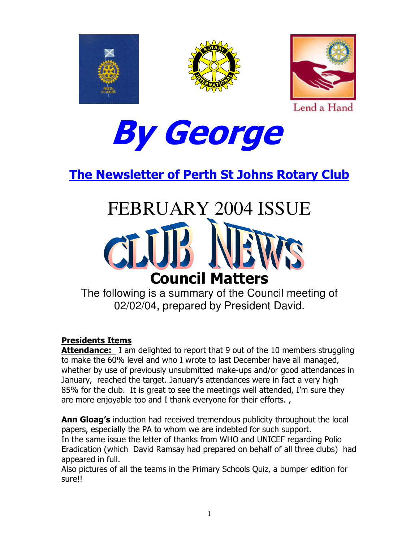





Lend a Hand



**The Newsletter of Perth St Johns Rotary Club** 

# **FEBRUARY 2004 ISSUE Council Matters**

The following is a summary of the Council meeting of 02/02/04, prepared by President David.

#### **Presidents Items**

Attendance: I am delighted to report that 9 out of the 10 members struggling to make the 60% level and who I wrote to last December have all managed, whether by use of previously unsubmitted make-ups and/or good attendances in January, reached the target. January's attendances were in fact a very high 85% for the club. It is great to see the meetings well attended, I'm sure they are more enjoyable too and I thank everyone for their efforts.,

Ann Gloag's induction had received tremendous publicity throughout the local papers, especially the PA to whom we are indebted for such support. In the same issue the letter of thanks from WHO and UNICEF regarding Polio Eradication (which David Ramsay had prepared on behalf of all three clubs) had appeared in full.

Also pictures of all the teams in the Primary Schools Quiz, a bumper edition for sure!!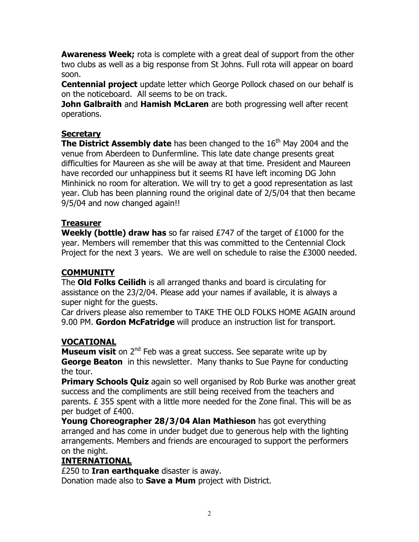**Awareness Week;** rota is complete with a great deal of support from the other two clubs as well as a big response from St Johns. Full rota will appear on board  $S<sub>0</sub>$  on.

**Centennial project** update letter which George Pollock chased on our behalf is on the noticeboard. All seems to be on track.

John Galbraith and Hamish McLaren are both progressing well after recent operations.

#### **Secretary**

**The District Assembly date** has been changed to the 16<sup>th</sup> May 2004 and the venue from Aberdeen to Dunfermline. This late date change presents great difficulties for Maureen as she will be away at that time. President and Maureen have recorded our unhappiness but it seems RI have left incoming DG John Minhinick no room for alteration. We will try to get a good representation as last year. Club has been planning round the original date of 2/5/04 that then became 9/5/04 and now changed again!!

#### **Treasurer**

**Weekly (bottle) draw has** so far raised  $E747$  of the target of  $E1000$  for the year. Members will remember that this was committed to the Centennial Clock Project for the next 3 years. We are well on schedule to raise the £3000 needed.

#### **COMMUNITY**

The **Old Folks Ceilidh** is all arranged thanks and board is circulating for assistance on the 23/2/04. Please add your names if available, it is always a super night for the quests.

Car drivers please also remember to TAKE THE OLD FOLKS HOME AGAIN around 9.00 PM. Gordon McFatridge will produce an instruction list for transport.

#### **VOCATIONAL**

Museum visit on 2<sup>nd</sup> Feb was a great success. See separate write up by **George Beaton** in this newsletter. Many thanks to Sue Payne for conducting the tour.

**Primary Schools Quiz** again so well organised by Rob Burke was another great success and the compliments are still being received from the teachers and parents. E 355 spent with a little more needed for the Zone final. This will be as per budget of £400.

Young Choreographer 28/3/04 Alan Mathieson has got everything arranged and has come in under budget due to generous help with the lighting arrangements. Members and friends are encouraged to support the performers on the night.

#### <u>INTERNATIONAL</u>

£250 to Iran earthquake disaster is away.

Donation made also to **Save a Mum** project with District.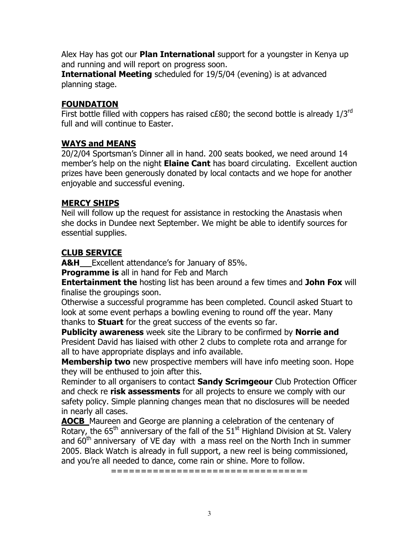Alex Hay has got our **Plan International** support for a youngster in Kenya up and running and will report on progress soon.

**International Meeting** scheduled for 19/5/04 (evening) is at advanced planning stage.

#### **FOUNDATION**

First bottle filled with coppers has raised c£80; the second bottle is already 1/3rd full and will continue to Easter.

#### **WAYS and MEANS**

20/2/04 Sportsman's Dinner all in hand. 200 seats booked, we need around 14 member's help on the night **Elaine Cant** has board circulating. Excellent auction prizes have been generously donated by local contacts and we hope for another enjoyable and successful evening.

#### **MERCY SHIPS**

Neil will follow up the request for assistance in restocking the Anastasis when she docks in Dundee next September. We might be able to identify sources for essential supplies.

#### **CLUB SERVICE**

**A&H** Excellent attendance's for January of 85%.

**Programme is all in hand for Feb and March** 

**Entertainment the hosting list has been around a few times and John Fox will** finalise the groupings soon.

Otherwise a successful programme has been completed. Council asked Stuart to look at some event perhaps a bowling evening to round off the year. Many thanks to **Stuart** for the great success of the events so far.

**Publicity awareness** week site the Library to be confirmed by **Norrie and** President David has liaised with other 2 clubs to complete rota and arrange for all to have appropriate displays and info available.

**Membership two** new prospective members will have info meeting soon. Hope they will be enthused to join after this.

Reminder to all organisers to contact **Sandy Scrimgeour** Club Protection Officer and check re risk assessments for all projects to ensure we comply with our safety policy. Simple planning changes mean that no disclosures will be needed in nearly all cases.

**AOCB** Maureen and George are planning a celebration of the centenary of Rotary, the 65<sup>th</sup> anniversary of the fall of the 51<sup>st</sup> Highland Division at St. Valery and 60<sup>th</sup> anniversary of VE day with a mass reel on the North Inch in summer 2005. Black Watch is already in full support, a new reel is being commissioned, and you're all needed to dance, come rain or shine. More to follow.

===================================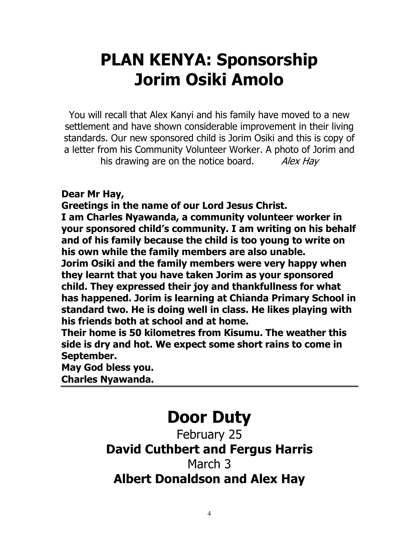# **PLAN KENYA: Sponsorship Jorim Osiki Amolo**

You will recall that Alex Kanyi and his family have moved to a new settlement and have shown considerable improvement in their living standards. Our new sponsored child is Jorim Osiki and this is copy of a letter from his Community Volunteer Worker. A photo of Jorim and his drawing are on the notice board. Alex Hay

Dear Mr Hay,

Greetings in the name of our Lord Jesus Christ.

I am Charles Nyawanda, a community volunteer worker in your sponsored child's community. I am writing on his behalf and of his family because the child is too young to write on his own while the family members are also unable.

Jorim Osiki and the family members were very happy when they learnt that you have taken Jorim as your sponsored child. They expressed their joy and thankfullness for what has happened. Jorim is learning at Chianda Primary School in standard two. He is doing well in class. He likes playing with his friends both at school and at home.

Their home is 50 kilometres from Kisumu. The weather this side is dry and hot. We expect some short rains to come in September.

May God bless you.

**Charles Nyawanda.** 

## **Door Duty**

February 25

## **David Cuthbert and Fergus Harris**

### March 3 **Albert Donaldson and Alex Hav**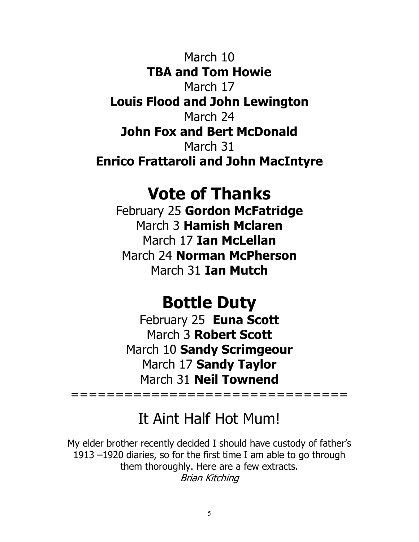March 10 **TBA and Tom Howie** March 17 **Louis Flood and John Lewington** March 24 **John Fox and Bert McDonald** March 31 **Enrico Frattaroli and John MacIntyre** 

## **Vote of Thanks**

February 25 Gordon McFatridge March 3 Hamish Mclaren March 17 Ian McLellan March 24 Norman McPherson March 31 **Ian Mutch** 

## **Bottle Duty**

February 25 Euna Scott March 3 Robert Scott March 10 Sandy Scrimgeour March 17 Sandy Taylor March 31 Neil Townend

================================

## It Aint Half Hot Mum!

My elder brother recently decided I should have custody of father's 1913 –1920 diaries, so for the first time I am able to go through them thoroughly. Here are a few extracts. Brian Kitching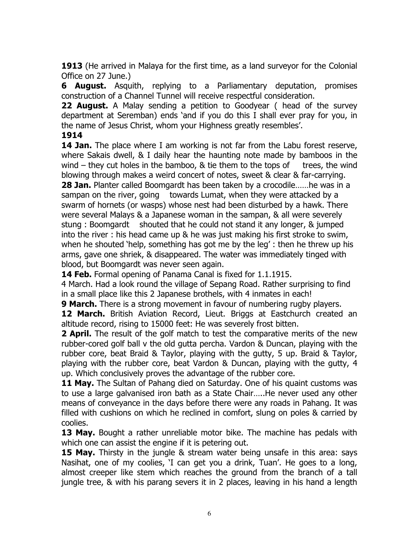1913 (He arrived in Malaya for the first time, as a land surveyor for the Colonial Office on 27 June.)

**6 August.** Asquith, replying to a Parliamentary deputation, promises construction of a Channel Tunnel will receive respectful consideration.

**22 August.** A Malay sending a petition to Goodyear ( head of the survey department at Seremban) ends 'and if you do this I shall ever pray for you, in the name of Jesus Christ, whom your Highness greatly resembles'.

#### 1914

**14 Jan.** The place where I am working is not far from the Labu forest reserve, where Sakais dwell, & I daily hear the haunting note made by bamboos in the wind  $-$  they cut holes in the bamboo,  $\&$  tie them to the tops of trees, the wind blowing through makes a weird concert of notes, sweet & clear & far-carrying. 28 Jan. Planter called Boomgardt has been taken by a crocodile......he was in a sampan on the river, going towards Lumat, when they were attacked by a swarm of hornets (or wasps) whose nest had been disturbed by a hawk. There were several Malays & a Japanese woman in the sampan, & all were severely stung: Boomgardt shouted that he could not stand it any longer, & jumped into the river : his head came up & he was just making his first stroke to swim, when he shouted 'help, something has got me by the leg': then he threw up his arms, gave one shriek, & disappeared. The water was immediately tinged with blood, but Boomgardt was never seen again.

14 Feb. Formal opening of Panama Canal is fixed for 1.1.1915.

4 March. Had a look round the village of Sepang Road. Rather surprising to find in a small place like this 2 Japanese brothels, with 4 inmates in each!

**9 March.** There is a strong movement in favour of numbering rugby players. 12 March. British Aviation Record, Lieut. Briggs at Eastchurch created an altitude record, rising to 15000 feet: He was severely frost bitten.

**2 April.** The result of the golf match to test the comparative merits of the new rubber-cored golf ball y the old gutta percha. Vardon & Duncan, playing with the rubber core, beat Braid & Taylor, playing with the gutty, 5 up. Braid & Taylor, playing with the rubber core, beat Vardon & Duncan, playing with the gutty, 4 up. Which conclusively proves the advantage of the rubber core.

11 May. The Sultan of Pahang died on Saturday. One of his quaint customs was to use a large galvanised iron bath as a State Chair.....He never used any other means of conveyance in the days before there were any roads in Pahang. It was filled with cushions on which he reclined in comfort, slung on poles & carried by coolies.

13 May. Bought a rather unreliable motor bike. The machine has pedals with which one can assist the engine if it is petering out.

**15 May.** Thirsty in the jungle & stream water being unsafe in this area: says Nasihat, one of my coolies, 'I can get you a drink, Tuan'. He goes to a long, almost creeper like stem which reaches the ground from the branch of a tall jungle tree, & with his parang severs it in 2 places, leaving in his hand a length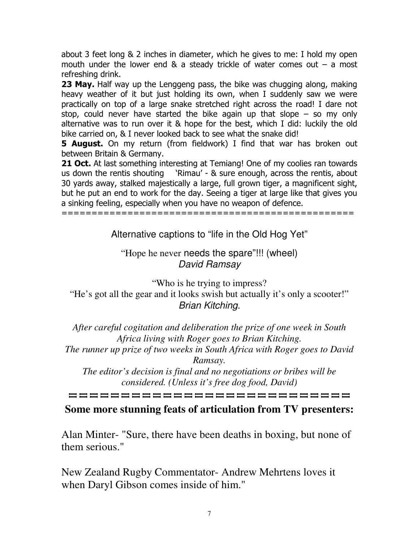about 3 feet long & 2 inches in diameter, which he gives to me: I hold my open mouth under the lower end & a steady trickle of water comes out  $-$  a most refreshing drink.

23 May. Half way up the Lenggeng pass, the bike was chugging along, making heavy weather of it but just holding its own, when I suddenly saw we were practically on top of a large snake stretched right across the road! I dare not stop, could never have started the bike again up that slope – so my only alternative was to run over it & hope for the best, which I did: luckily the old bike carried on, & I never looked back to see what the snake did!

**5 August.** On my return (from fieldwork) I find that war has broken out between Britain & Germany.

21 Oct. At last something interesting at Temiang! One of my coolies ran towards   L3\$ M
   30 yards away, stalked majestically a large, full grown tiger, a magnificent sight, but he put an end to work for the day. Seeing a tiger at large like that gives you a sinking feeling, especially when you have no weapon of defence.

IIIIIIIIIIIIIIIIIIIIIIIIIIIIIIIIIIIIIIIIIIIIIIIII

Alternative captions to "life in the Old Hog Yet"

"Hope he never needs the spare"!!! (wheel) *David Ramsay*

"Who is he trying to impress? "He's got all the gear and it looks swish but actually it's only a scooter!" *Brian Kitching.*

*After careful cogitation and deliberation the prize of one week in South Africa living with Roger goes to Brian Kitching.*

*The runner up prize of two weeks in South Africa with Roger goes to David Ramsay.*

*The editor's decision is final and no negotiations or bribes will be considered. (Unless it's free dog food, David)*

**HHHHHHHHHHHHHHHHHHHHHH** 

#### **Some more stunning feats of articulation from TV presenters:**

Alan Minter- "Sure, there have been deaths in boxing, but none of them serious."

New Zealand Rugby Commentator- Andrew Mehrtens loves it when Daryl Gibson comes inside of him."